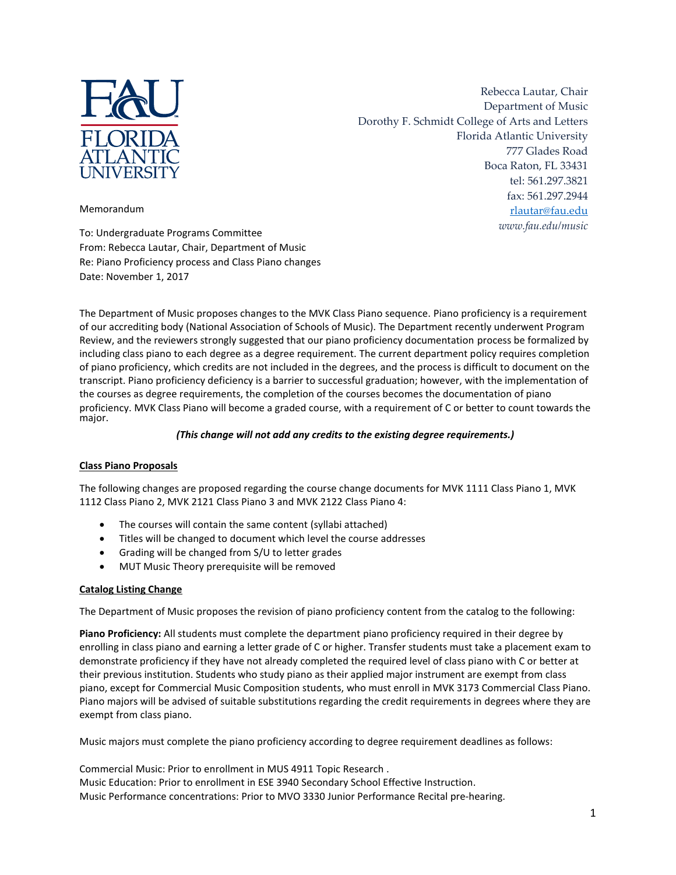

Rebecca Lautar, Chair Department of Music Dorothy F. Schmidt College of Arts and Letters Florida Atlantic University 777 Glades Road Boca Raton, FL 33431 tel: 561.297.3821 fax: 561.297.2944 [rlautar@fau.edu](mailto:rlautar@fau.edu) *www.fau.edu/music*

Memorandum

To: Undergraduate Programs Committee From: Rebecca Lautar, Chair, Department of Music Re: Piano Proficiency process and Class Piano changes Date: November 1, 2017

The Department of Music proposes changes to the MVK Class Piano sequence. Piano proficiency is a requirement of our accrediting body (National Association of Schools of Music). The Department recently underwent Program Review, and the reviewers strongly suggested that our piano proficiency documentation process be formalized by including class piano to each degree as a degree requirement. The current department policy requires completion of piano proficiency, which credits are not included in the degrees, and the process is difficult to document on the transcript. Piano proficiency deficiency is a barrier to successful graduation; however, with the implementation of the courses as degree requirements, the completion of the courses becomes the documentation of piano proficiency. MVK Class Piano will become a graded course, with a requirement of C or better to count towards the major.

## *(This change will not add any credits to the existing degree requirements.)*

## **Class Piano Proposals**

The following changes are proposed regarding the course change documents for MVK 1111 Class Piano 1, MVK 1112 Class Piano 2, MVK 2121 Class Piano 3 and MVK 2122 Class Piano 4:

- The courses will contain the same content (syllabi attached)
- Titles will be changed to document which level the course addresses
- Grading will be changed from S/U to letter grades
- MUT Music Theory prerequisite will be removed

## **Catalog Listing Change**

The Department of Music proposes the revision of piano proficiency content from the catalog to the following:

**Piano Proficiency:** All students must complete the department piano proficiency required in their degree by enrolling in class piano and earning a letter grade of C or higher. Transfer students must take a placement exam to demonstrate proficiency if they have not already completed the required level of class piano with C or better at their previous institution. Students who study piano as their applied major instrument are exempt from class piano, except for Commercial Music Composition students, who must enroll in MVK 3173 Commercial Class Piano. Piano majors will be advised of suitable substitutions regarding the credit requirements in degrees where they are exempt from class piano.

Music majors must complete the piano proficiency according to degree requirement deadlines as follows:

Commercial Music: Prior to enrollment in MUS 4911 Topic Research . Music Education: Prior to enrollment in ESE 3940 Secondary School Effective Instruction. Music Performance concentrations: Prior to MVO 3330 Junior Performance Recital pre-hearing.